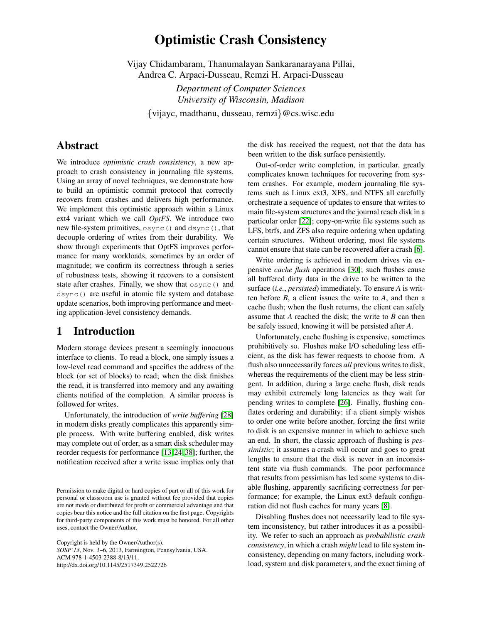# **Optimistic Crash Consistency**

Vijay Chidambaram, Thanumalayan Sankaranarayana Pillai, Andrea C. Arpaci-Dusseau, Remzi H. Arpaci-Dusseau

> *Department of Computer Sciences University of Wisconsin, Madison*

{vijayc, madthanu, dusseau, remzi}@cs.wisc.edu

## **Abstract**

We introduce *optimistic crash consistency*, a new approach to crash consistency in journaling file systems. Using an array of novel techniques, we demonstrate how to build an optimistic commit protocol that correctly recovers from crashes and delivers high performance. We implement this optimistic approach within a Linux ext4 variant which we call *OptFS*. We introduce two new file-system primitives, osync() and dsync(), that decouple ordering of writes from their durability. We show through experiments that OptFS improves performance for many workloads, sometimes by an order of magnitude; we confirm its correctness through a series of robustness tests, showing it recovers to a consistent state after crashes. Finally, we show that osync() and dsync() are useful in atomic file system and database update scenarios, both improving performance and meeting application-level consistency demands.

## **1 Introduction**

Modern storage devices present a seemingly innocuous interface to clients. To read a block, one simply issues a low-level read command and specifies the address of the block (or set of blocks) to read; when the disk finishes the read, it is transferred into memory and any awaiting clients notified of the completion. A similar process is followed for writes.

Unfortunately, the introduction of *write buffering* [\[28\]](#page-15-0) in modern disks greatly complicates this apparently simple process. With write buffering enabled, disk writes may complete out of order, as a smart disk scheduler may reorder requests for performance [\[13,](#page-15-1) [24,](#page-15-2) [38\]](#page-15-3); further, the notification received after a write issue implies only that

Copyright is held by the Owner/Author(s). *SOSP'13*, Nov. 3–6, 2013, Farmington, Pennsylvania, USA. ACM 978-1-4503-2388-8/13/11. http://dx.doi.org/10.1145/2517349.2522726

the disk has received the request, not that the data has been written to the disk surface persistently.

Out-of-order write completion, in particular, greatly complicates known techniques for recovering from system crashes. For example, modern journaling file systems such as Linux ext3, XFS, and NTFS all carefully orchestrate a sequence of updates to ensure that writes to main file-system structures and the journal reach disk in a particular order [\[22\]](#page-15-4); copy-on-write file systems such as LFS, btrfs, and ZFS also require ordering when updating certain structures. Without ordering, most file systems cannot ensure that state can be recovered after a crash [\[6\]](#page-15-5).

Write ordering is achieved in modern drives via expensive *cache flush* operations [\[30\]](#page-15-6); such flushes cause all buffered dirty data in the drive to be written to the surface (*i.e.*, *persisted*) immediately. To ensure *A* is written before *B*, a client issues the write to *A*, and then a cache flush; when the flush returns, the client can safely assume that *A* reached the disk; the write to *B* can then be safely issued, knowing it will be persisted after *A*.

Unfortunately, cache flushing is expensive, sometimes prohibitively so. Flushes make I/O scheduling less efficient, as the disk has fewer requests to choose from. A flush also unnecessarily forces *all* previous writes to disk, whereas the requirements of the client may be less stringent. In addition, during a large cache flush, disk reads may exhibit extremely long latencies as they wait for pending writes to complete [\[26\]](#page-15-7). Finally, flushing conflates ordering and durability; if a client simply wishes to order one write before another, forcing the first write to disk is an expensive manner in which to achieve such an end. In short, the classic approach of flushing is *pessimistic*; it assumes a crash will occur and goes to great lengths to ensure that the disk is never in an inconsistent state via flush commands. The poor performance that results from pessimism has led some systems to disable flushing, apparently sacrificing correctness for performance; for example, the Linux ext3 default configuration did not flush caches for many years [\[8\]](#page-15-8).

Disabling flushes does not necessarily lead to file system inconsistency, but rather introduces it as a possibility. We refer to such an approach as *probabilistic crash consistency*, in which a crash *might* lead to file system inconsistency, depending on many factors, including workload, system and disk parameters, and the exact timing of

Permission to make digital or hard copies of part or all of this work for personal or classroom use is granted without fee provided that copies are not made or distributed for profit or commercial advantage and that copies bear this notice and the full citation on the first page. Copyrights for third-party components of this work must be honored. For all other uses, contact the Owner/Author.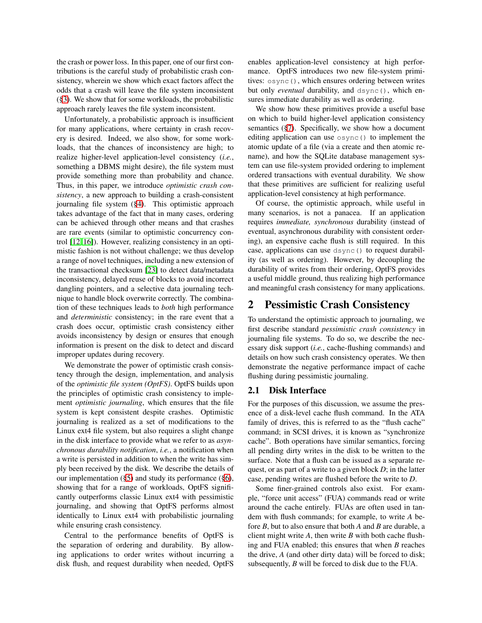the crash or power loss. In this paper, one of our first contributions is the careful study of probabilistic crash consistency, wherein we show which exact factors affect the odds that a crash will leave the file system inconsistent ([§3\)](#page-3-0). We show that for some workloads, the probabilistic approach rarely leaves the file system inconsistent.

Unfortunately, a probabilistic approach is insufficient for many applications, where certainty in crash recovery is desired. Indeed, we also show, for some workloads, that the chances of inconsistency are high; to realize higher-level application-level consistency (*i.e.*, something a DBMS might desire), the file system must provide something more than probability and chance. Thus, in this paper, we introduce *optimistic crash consistency*, a new approach to building a crash-consistent journaling file system ([§4\)](#page-5-0). This optimistic approach takes advantage of the fact that in many cases, ordering can be achieved through other means and that crashes are rare events (similar to optimistic concurrency control [\[12,](#page-15-9) [16\]](#page-15-10)). However, realizing consistency in an optimistic fashion is not without challenge; we thus develop a range of novel techniques, including a new extension of the transactional checksum [\[23\]](#page-15-11) to detect data/metadata inconsistency, delayed reuse of blocks to avoid incorrect dangling pointers, and a selective data journaling technique to handle block overwrite correctly. The combination of these techniques leads to *both* high performance and *deterministic* consistency; in the rare event that a crash does occur, optimistic crash consistency either avoids inconsistency by design or ensures that enough information is present on the disk to detect and discard improper updates during recovery.

We demonstrate the power of optimistic crash consistency through the design, implementation, and analysis of the *optimistic file system (OptFS)*. OptFS builds upon the principles of optimistic crash consistency to implement *optimistic journaling*, which ensures that the file system is kept consistent despite crashes. Optimistic journaling is realized as a set of modifications to the Linux ext4 file system, but also requires a slight change in the disk interface to provide what we refer to as *asynchronous durability notification*, *i.e.*, a notification when a write is persisted in addition to when the write has simply been received by the disk. We describe the details of our implementation ([§5\)](#page-9-0) and study its performance ([§6\)](#page-10-0), showing that for a range of workloads, OptFS significantly outperforms classic Linux ext4 with pessimistic journaling, and showing that OptFS performs almost identically to Linux ext4 with probabilistic journaling while ensuring crash consistency.

Central to the performance benefits of OptFS is the separation of ordering and durability. By allowing applications to order writes without incurring a disk flush, and request durability when needed, OptFS enables application-level consistency at high performance. OptFS introduces two new file-system primitives: osync(), which ensures ordering between writes but only *eventual* durability, and dsync(), which ensures immediate durability as well as ordering.

We show how these primitives provide a useful base on which to build higher-level application consistency semantics ([§7\)](#page-12-0). Specifically, we show how a document editing application can use osync() to implement the atomic update of a file (via a create and then atomic rename), and how the SQLite database management system can use file-system provided ordering to implement ordered transactions with eventual durability. We show that these primitives are sufficient for realizing useful application-level consistency at high performance.

Of course, the optimistic approach, while useful in many scenarios, is not a panacea. If an application requires *immediate, synchronous* durability (instead of eventual, asynchronous durability with consistent ordering), an expensive cache flush is still required. In this case, applications can use dsync() to request durability (as well as ordering). However, by decoupling the durability of writes from their ordering, OptFS provides a useful middle ground, thus realizing high performance and meaningful crash consistency for many applications.

## **2 Pessimistic Crash Consistency**

To understand the optimistic approach to journaling, we first describe standard *pessimistic crash consistency* in journaling file systems. To do so, we describe the necessary disk support (*i.e.*, cache-flushing commands) and details on how such crash consistency operates. We then demonstrate the negative performance impact of cache flushing during pessimistic journaling.

### **2.1 Disk Interface**

For the purposes of this discussion, we assume the presence of a disk-level cache flush command. In the ATA family of drives, this is referred to as the "flush cache" command; in SCSI drives, it is known as "synchronize cache". Both operations have similar semantics, forcing all pending dirty writes in the disk to be written to the surface. Note that a flush can be issued as a separate request, or as part of a write to a given block *D*; in the latter case, pending writes are flushed before the write to *D*.

<span id="page-1-0"></span>Some finer-grained controls also exist. For example, "force unit access" (FUA) commands read or write around the cache entirely. FUAs are often used in tandem with flush commands; for example, to write *A* before *B*, but to also ensure that both *A* and *B* are durable, a client might write *A*, then write *B* with both cache flushing and FUA enabled; this ensures that when *B* reaches the drive, *A* (and other dirty data) will be forced to disk; subsequently, *B* will be forced to disk due to the FUA.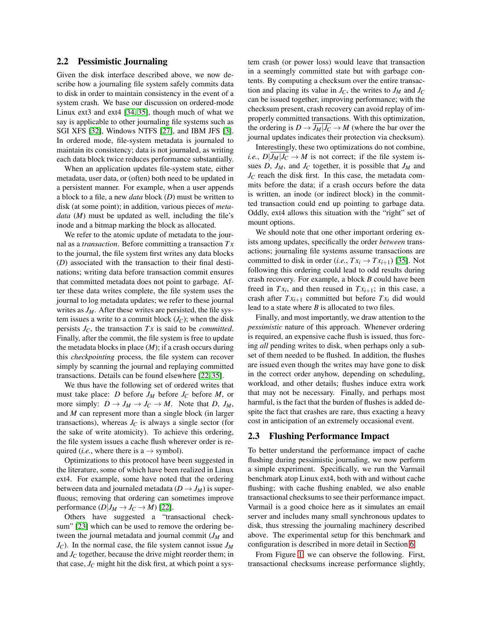### **2.2 Pessimistic Journaling**

Given the disk interface described above, we now describe how a journaling file system safely commits data to disk in order to maintain consistency in the event of a system crash. We base our discussion on ordered-mode Linux ext3 and ext4 [\[34,](#page-15-12) [35\]](#page-15-13), though much of what we say is applicable to other journaling file systems such as SGI XFS [\[32\]](#page-15-14), Windows NTFS [\[27\]](#page-15-15), and IBM JFS [\[3\]](#page-15-16). In ordered mode, file-system metadata is journaled to maintain its consistency; data is not journaled, as writing each data block twice reduces performance substantially.

When an application updates file-system state, either metadata, user data, or (often) both need to be updated in a persistent manner. For example, when a user appends a block to a file, a new *data* block (*D*) must be written to disk (at some point); in addition, various pieces of *metadata* (*M*) must be updated as well, including the file's inode and a bitmap marking the block as allocated.

We refer to the atomic update of metadata to the journal as a *transaction*. Before committing a transaction *T x* to the journal, the file system first writes any data blocks (*D*) associated with the transaction to their final destinations; writing data before transaction commit ensures that committed metadata does not point to garbage. After these data writes complete, the file system uses the journal to log metadata updates; we refer to these journal writes as  $J_M$ . After these writes are persisted, the file system issues a write to a commit block  $(J_C)$ ; when the disk persists  $J_C$ , the transaction  $Tx$  is said to be *committed*. Finally, after the commit, the file system is free to update the metadata blocks in place (*M*); if a crash occurs during this *checkpointing* process, the file system can recover simply by scanning the journal and replaying committed transactions. Details can be found elsewhere [\[22,](#page-15-4) [35\]](#page-15-13).

We thus have the following set of ordered writes that must take place: *D* before  $J_M$  before  $J_C$  before  $M$ , or more simply:  $D \to J_M \to J_C \to M$ . Note that *D*,  $J_M$ , and *M* can represent more than a single block (in larger transactions), whereas  $J_C$  is always a single sector (for the sake of write atomicity). To achieve this ordering, the file system issues a cache flush wherever order is required (*i.e.*, where there is a  $\rightarrow$  symbol).

Optimizations to this protocol have been suggested in the literature, some of which have been realized in Linux ext4. For example, some have noted that the ordering between data and journaled metadata  $(D \rightarrow J_M)$  is superfluous; removing that ordering can sometimes improve performance  $(D|J_M \to J_C \to M)$  [\[22\]](#page-15-4).

Others have suggested a "transactional check-sum" [\[23\]](#page-15-11) which can be used to remove the ordering between the journal metadata and journal commit (*J<sup>M</sup>* and  $J_C$ ). In the normal case, the file system cannot issue  $J_M$ and  $J_C$  together, because the drive might reorder them; in that case,  $J_C$  might hit the disk first, at which point a system crash (or power loss) would leave that transaction in a seemingly committed state but with garbage contents. By computing a checksum over the entire transaction and placing its value in  $J_C$ , the writes to  $J_M$  and  $J_C$ can be issued together, improving performance; with the checksum present, crash recovery can avoid replay of improperly committed transactions. With this optimization, the ordering is  $D \to J_M / J_C \to M$  (where the bar over the journal updates indicates their protection via checksum).

Interestingly, these two optimizations do not combine, *i.e.*,  $D|J_M|J_C \to M$  is not correct; if the file system issues *D*,  $J_M$ , and  $J_C$  together, it is possible that  $J_M$  and  $J<sub>C</sub>$  reach the disk first. In this case, the metadata commits before the data; if a crash occurs before the data is written, an inode (or indirect block) in the committed transaction could end up pointing to garbage data. Oddly, ext4 allows this situation with the "right" set of mount options.

We should note that one other important ordering exists among updates, specifically the order *between* transactions; journaling file systems assume transactions are committed to disk in order (*i.e.*,  $Tx_i \rightarrow Tx_{i+1}$ ) [\[35\]](#page-15-13). Not following this ordering could lead to odd results during crash recovery. For example, a block *B* could have been freed in  $Tx_i$ , and then reused in  $Tx_{i+1}$ ; in this case, a crash after  $Tx_{i+1}$  committed but before  $Tx_i$  did would lead to a state where *B* is allocated to two files.

Finally, and most importantly, we draw attention to the *pessimistic* nature of this approach. Whenever ordering is required, an expensive cache flush is issued, thus forcing *all* pending writes to disk, when perhaps only a subset of them needed to be flushed. In addition, the flushes are issued even though the writes may have gone to disk in the correct order anyhow, depending on scheduling, workload, and other details; flushes induce extra work that may not be necessary. Finally, and perhaps most harmful, is the fact that the burden of flushes is added despite the fact that crashes are rare, thus exacting a heavy cost in anticipation of an extremely occasional event.

### **2.3 Flushing Performance Impact**

To better understand the performance impact of cache flushing during pessimistic journaling, we now perform a simple experiment. Specifically, we run the Varmail benchmark atop Linux ext4, both with and without cache flushing; with cache flushing enabled, we also enable transactional checksums to see their performance impact. Varmail is a good choice here as it simulates an email server and includes many small synchronous updates to disk, thus stressing the journaling machinery described above. The experimental setup for this benchmark and configuration is described in more detail in Section [6.](#page-10-0)

From Figure [1,](#page-3-1) we can observe the following. First, transactional checksums increase performance slightly,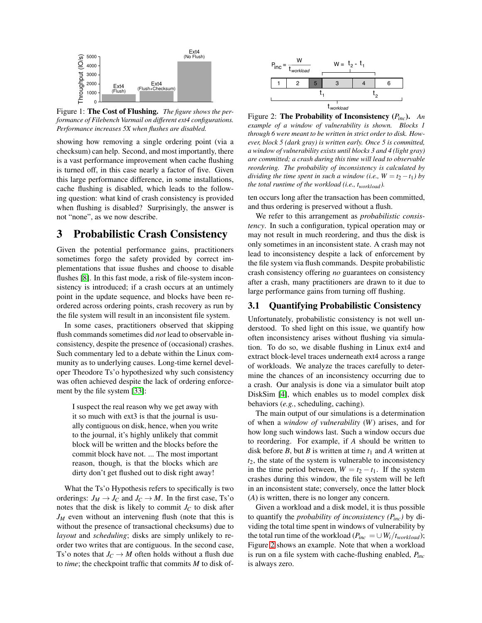

<span id="page-3-1"></span>Figure 1: **The Cost of Flushing.** *The figure shows the performance of Filebench Varmail on different ext4 configurations. Performance increases 5X when flushes are disabled.*

showing how removing a single ordering point (via a checksum) can help. Second, and most importantly, there is a vast performance improvement when cache flushing is turned off, in this case nearly a factor of five. Given this large performance difference, in some installations, cache flushing is disabled, which leads to the following question: what kind of crash consistency is provided when flushing is disabled? Surprisingly, the answer is not "none", as we now describe.

## <span id="page-3-0"></span>**3 Probabilistic Crash Consistency**

Given the potential performance gains, practitioners sometimes forgo the safety provided by correct implementations that issue flushes and choose to disable flushes [\[8\]](#page-15-8). In this fast mode, a risk of file-system inconsistency is introduced; if a crash occurs at an untimely point in the update sequence, and blocks have been reordered across ordering points, crash recovery as run by the file system will result in an inconsistent file system.

In some cases, practitioners observed that skipping flush commands sometimes did *not* lead to observable inconsistency, despite the presence of (occasional) crashes. Such commentary led to a debate within the Linux community as to underlying causes. Long-time kernel developer Theodore Ts'o hypothesized why such consistency was often achieved despite the lack of ordering enforcement by the file system [\[33\]](#page-15-17):

I suspect the real reason why we get away with it so much with ext3 is that the journal is usually contiguous on disk, hence, when you write to the journal, it's highly unlikely that commit block will be written and the blocks before the commit block have not. ... The most important reason, though, is that the blocks which are dirty don't get flushed out to disk right away!

What the Ts'o Hypothesis refers to specifically is two orderings:  $J_M \rightarrow J_C$  and  $J_C \rightarrow M$ . In the first case, Ts'o notes that the disk is likely to commit  $J_C$  to disk after *J<sup>M</sup>* even without an intervening flush (note that this is without the presence of transactional checksums) due to *layout* and *scheduling*; disks are simply unlikely to reorder two writes that are contiguous. In the second case, Ts'o notes that  $J_C \rightarrow M$  often holds without a flush due to *time*; the checkpoint traffic that commits *M* to disk of-



<span id="page-3-2"></span>Figure 2: **The Probability of Inconsistency (***Pinc***).** *An example of a window of vulnerability is shown. Blocks 1 through 6 were meant to be written in strict order to disk. However, block 5 (dark gray) is written early. Once 5 is committed, a window of vulnerability exists until blocks 3 and 4 (light gray) are committed; a crash during this time will lead to observable reordering. The probability of inconsistency is calculated by dividing the time spent in such a window (i.e.,*  $W = t_2 - t_1$ *) by the total runtime of the workload (i.e., tworkload ).*

ten occurs long after the transaction has been committed, and thus ordering is preserved without a flush.

We refer to this arrangement as *probabilistic consistency*. In such a configuration, typical operation may or may not result in much reordering, and thus the disk is only sometimes in an inconsistent state. A crash may not lead to inconsistency despite a lack of enforcement by the file system via flush commands. Despite probabilistic crash consistency offering *no* guarantees on consistency after a crash, many practitioners are drawn to it due to large performance gains from turning off flushing.

## **3.1 Quantifying Probabilistic Consistency**

Unfortunately, probabilistic consistency is not well understood. To shed light on this issue, we quantify how often inconsistency arises without flushing via simulation. To do so, we disable flushing in Linux ext4 and extract block-level traces underneath ext4 across a range of workloads. We analyze the traces carefully to determine the chances of an inconsistency occurring due to a crash. Our analysis is done via a simulator built atop DiskSim [\[4\]](#page-15-18), which enables us to model complex disk behaviors (*e.g.*, scheduling, caching).

The main output of our simulations is a determination of when a *window of vulnerability* (*W*) arises, and for how long such windows last. Such a window occurs due to reordering. For example, if *A* should be written to disk before *B*, but *B* is written at time  $t_1$  and *A* written at *t*2, the state of the system is vulnerable to inconsistency in the time period between,  $W = t_2 - t_1$ . If the system crashes during this window, the file system will be left in an inconsistent state; conversely, once the latter block (*A*) is written, there is no longer any concern.

Given a workload and a disk model, it is thus possible to quantify the *probability of inconsistency (Pinc)* by dividing the total time spent in windows of vulnerability by the total run time of the workload ( $P_{inc} = \bigcup W_i / t_{workload}$ ); Figure [2](#page-3-2) shows an example. Note that when a workload is run on a file system with cache-flushing enabled, *Pinc* is always zero.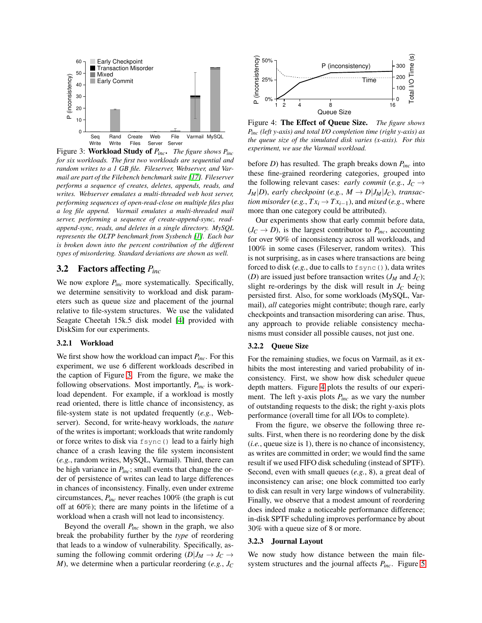

<span id="page-4-0"></span>Figure 3: **Workload Study of** *Pinc***.** *The figure shows Pinc for six workloads. The first two workloads are sequential and random writes to a 1 GB file. Fileserver, Webserver, and Varmail are part of the Filebench benchmark suite [\[17\]](#page-15-19). Fileserver performs a sequence of creates, deletes, appends, reads, and writes. Webserver emulates a multi-threaded web host server, performing sequences of open-read-close on multiple files plus a log file append. Varmail emulates a multi-threaded mail server, performing a sequence of create-append-sync, readappend-sync, reads, and deletes in a single directory. MySQL represents the OLTP benchmark from Sysbench [\[1\]](#page-15-20). Each bar is broken down into the percent contribution of the different types of misordering. Standard deviations are shown as well.*

## **3.2 Factors affecting** *Pinc*

We now explore  $P_{inc}$  more systematically. Specifically, we determine sensitivity to workload and disk parameters such as queue size and placement of the journal relative to file-system structures. We use the validated Seagate Cheetah 15k.5 disk model [\[4\]](#page-15-18) provided with DiskSim for our experiments.

#### **3.2.1 Workload**

We first show how the workload can impact *Pinc*. For this experiment, we use 6 different workloads described in the caption of Figure [3.](#page-4-0) From the figure, we make the following observations. Most importantly, *Pinc* is workload dependent. For example, if a workload is mostly read oriented, there is little chance of inconsistency, as file-system state is not updated frequently (*e.g.*, Webserver). Second, for write-heavy workloads, the *nature* of the writes is important; workloads that write randomly or force writes to disk via fsync() lead to a fairly high chance of a crash leaving the file system inconsistent (*e.g.*, random writes, MySQL, Varmail). Third, there can be high variance in *Pinc*; small events that change the order of persistence of writes can lead to large differences in chances of inconsistency. Finally, even under extreme circumstances, *Pinc* never reaches 100% (the graph is cut off at 60%); there are many points in the lifetime of a workload when a crash will not lead to inconsistency.

Beyond the overall *Pinc* shown in the graph, we also break the probability further by the *type* of reordering that leads to a window of vulnerability. Specifically, assuming the following commit ordering  $(D|J_M \rightarrow J_C \rightarrow$ *M*), we determine when a particular reordering (*e.g.*, *J<sup>C</sup>*



<span id="page-4-1"></span>Figure 4: **The Effect of Queue Size.** *The figure shows Pinc (left y-axis) and total I/O completion time (right y-axis) as the queue size of the simulated disk varies (x-axis). For this experiment, we use the Varmail workload.*

before *D*) has resulted. The graph breaks down *Pinc* into these fine-grained reordering categories, grouped into the following relevant cases: *early commit* (*e.g.*,  $J_C \rightarrow$ *J<sub>M</sub>* $|D|$ , *early checkpoint* (*e.g.*,  $M \rightarrow D|J_M|J_C$ ), *transaction misorder* (*e.g.*,  $Tx_i \rightarrow Tx_{i-1}$ ), and *mixed* (*e.g.*, where more than one category could be attributed).

Our experiments show that early commit before data,  $(J_C \rightarrow D)$ , is the largest contributor to  $P_{inc}$ , accounting for over 90% of inconsistency across all workloads, and 100% in some cases (Fileserver, random writes). This is not surprising, as in cases where transactions are being forced to disk (*e.g.*, due to calls to fsync()), data writes (*D*) are issued just before transaction writes  $(J_M$  and  $J_C$ ); slight re-orderings by the disk will result in  $J_C$  being persisted first. Also, for some workloads (MySQL, Varmail), *all* categories might contribute; though rare, early checkpoints and transaction misordering can arise. Thus, any approach to provide reliable consistency mechanisms must consider all possible causes, not just one.

#### **3.2.2 Queue Size**

For the remaining studies, we focus on Varmail, as it exhibits the most interesting and varied probability of inconsistency. First, we show how disk scheduler queue depth matters. Figure [4](#page-4-1) plots the results of our experiment. The left y-axis plots *Pinc* as we vary the number of outstanding requests to the disk; the right y-axis plots performance (overall time for all I/Os to complete).

From the figure, we observe the following three results. First, when there is no reordering done by the disk (*i.e.*, queue size is 1), there is no chance of inconsistency, as writes are committed in order; we would find the same result if we used FIFO disk scheduling (instead of SPTF). Second, even with small queues (*e.g.*, 8), a great deal of inconsistency can arise; one block committed too early to disk can result in very large windows of vulnerability. Finally, we observe that a modest amount of reordering does indeed make a noticeable performance difference; in-disk SPTF scheduling improves performance by about 30% with a queue size of 8 or more.

#### **3.2.3 Journal Layout**

We now study how distance between the main filesystem structures and the journal affects *Pinc*. Figure [5](#page-5-1)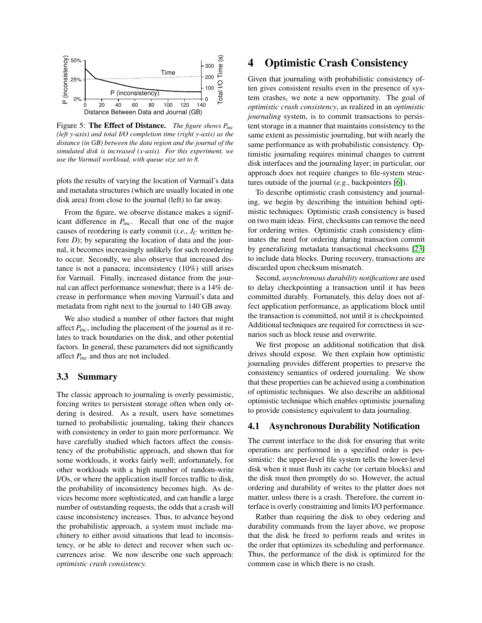

<span id="page-5-1"></span>Figure 5: **The Effect of Distance.** *The figure shows Pinc (left y-axis) and total I/O completion time (right y-axis) as the distance (in GB) between the data region and the journal of the simulated disk is increased (x-axis). For this experiment, we use the Varmail workload, with queue size set to 8.*

plots the results of varying the location of Varmail's data and metadata structures (which are usually located in one disk area) from close to the journal (left) to far away.

From the figure, we observe distance makes a significant difference in *Pinc*. Recall that one of the major causes of reordering is early commit (*i.e.*,  $J_C$  written before *D*); by separating the location of data and the journal, it becomes increasingly unlikely for such reordering to occur. Secondly, we also observe that increased distance is not a panacea; inconsistency (10%) still arises for Varmail. Finally, increased distance from the journal can affect performance somewhat; there is a 14% decrease in performance when moving Varmail's data and metadata from right next to the journal to 140 GB away.

We also studied a number of other factors that might affect *Pinc*, including the placement of the journal as it relates to track boundaries on the disk, and other potential factors. In general, these parameters did not significantly affect *Pinc* and thus are not included.

## **3.3 Summary**

<span id="page-5-0"></span>The classic approach to journaling is overly pessimistic, forcing writes to persistent storage often when only ordering is desired. As a result, users have sometimes turned to probabilistic journaling, taking their chances with consistency in order to gain more performance. We have carefully studied which factors affect the consistency of the probabilistic approach, and shown that for some workloads, it works fairly well; unfortunately, for other workloads with a high number of random-write I/Os, or where the application itself forces traffic to disk, the probability of inconsistency becomes high. As devices become more sophisticated, and can handle a large number of outstanding requests, the odds that a crash will cause inconsistency increases. Thus, to advance beyond the probabilistic approach, a system must include machinery to either avoid situations that lead to inconsistency, or be able to detect and recover when such occurrences arise. We now describe one such approach: *optimistic crash consistency.*

## **4 Optimistic Crash Consistency**

Given that journaling with probabilistic consistency often gives consistent results even in the presence of system crashes, we note a new opportunity. The goal of *optimistic crash consistency*, as realized in an *optimistic journaling* system, is to commit transactions to persistent storage in a manner that maintains consistency to the same extent as pessimistic journaling, but with nearly the same performance as with probabilistic consistency. Optimistic journaling requires minimal changes to current disk interfaces and the journaling layer; in particular, our approach does not require changes to file-system structures outside of the journal (*e.g.*, backpointers [\[6\]](#page-15-5)).

To describe optimistic crash consistency and journaling, we begin by describing the intuition behind optimistic techniques. Optimistic crash consistency is based on two main ideas. First, checksums can remove the need for ordering writes. Optimistic crash consistency eliminates the need for ordering during transaction commit by generalizing metadata transactional checksums [\[23\]](#page-15-11) to include data blocks. During recovery, transactions are discarded upon checksum mismatch.

Second, *asynchronous durability notifications* are used to delay checkpointing a transaction until it has been committed durably. Fortunately, this delay does not affect application performance, as applications block until the transaction is committed, not until it is checkpointed. Additional techniques are required for correctness in scenarios such as block reuse and overwrite.

We first propose an additional notification that disk drives should expose. We then explain how optimistic journaling provides different properties to preserve the consistency semantics of ordered journaling. We show that these properties can be achieved using a combination of optimistic techniques. We also describe an additional optimistic technique which enables optimistic journaling to provide consistency equivalent to data journaling.

## **4.1 Asynchronous Durability Notification**

The current interface to the disk for ensuring that write operations are performed in a specified order is pessimistic: the upper-level file system tells the lower-level disk when it must flush its cache (or certain blocks) and the disk must then promptly do so. However, the actual ordering and durability of writes to the platter does not matter, unless there is a crash. Therefore, the current interface is overly constraining and limits I/O performance.

Rather than requiring the disk to obey ordering and durability commands from the layer above, we propose that the disk be freed to perform reads and writes in the order that optimizes its scheduling and performance. Thus, the performance of the disk is optimized for the common case in which there is no crash.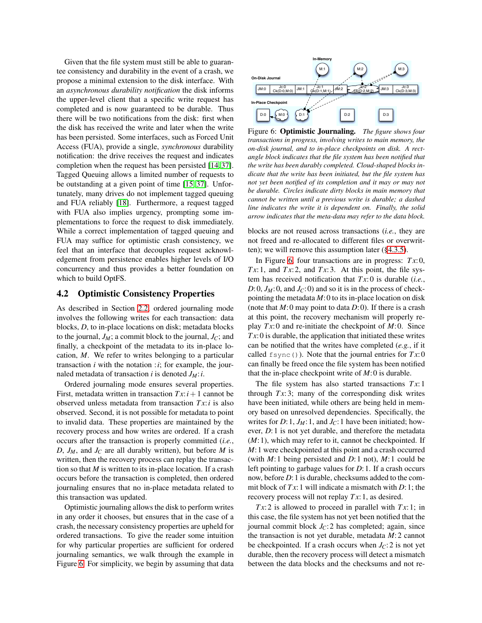Given that the file system must still be able to guarantee consistency and durability in the event of a crash, we propose a minimal extension to the disk interface. With an *asynchronous durability notification* the disk informs the upper-level client that a specific write request has completed and is now guaranteed to be durable. Thus there will be two notifications from the disk: first when the disk has received the write and later when the write has been persisted. Some interfaces, such as Forced Unit Access (FUA), provide a single, *synchronous* durability notification: the drive receives the request and indicates completion when the request has been persisted [\[14,](#page-15-21) [37\]](#page-15-22). Tagged Queuing allows a limited number of requests to be outstanding at a given point of time [\[15,](#page-15-23) [37\]](#page-15-22). Unfortunately, many drives do not implement tagged queuing and FUA reliably [\[18\]](#page-15-24). Furthermore, a request tagged with FUA also implies urgency, prompting some implementations to force the request to disk immediately. While a correct implementation of tagged queuing and FUA may suffice for optimistic crash consistency, we feel that an interface that decouples request acknowledgement from persistence enables higher levels of I/O concurrency and thus provides a better foundation on which to build OptFS.

### **4.2 Optimistic Consistency Properties**

As described in Section [2.2,](#page-1-0) ordered journaling mode involves the following writes for each transaction: data blocks, *D*, to in-place locations on disk; metadata blocks to the journal,  $J_M$ ; a commit block to the journal,  $J_C$ ; and finally, a checkpoint of the metadata to its in-place location, *M*. We refer to writes belonging to a particular transaction *i* with the notation :*i*; for example, the journaled metadata of transaction *i* is denoted *JM*:*i*.

Ordered journaling mode ensures several properties. First, metadata written in transaction  $Tx: i+1$  cannot be observed unless metadata from transaction *T x*:*i* is also observed. Second, it is not possible for metadata to point to invalid data. These properties are maintained by the recovery process and how writes are ordered. If a crash occurs after the transaction is properly committed (*i.e.*, *D*,  $J_M$ , and  $J_C$  are all durably written), but before *M* is written, then the recovery process can replay the transaction so that *M* is written to its in-place location. If a crash occurs before the transaction is completed, then ordered journaling ensures that no in-place metadata related to this transaction was updated.

Optimistic journaling allows the disk to perform writes in any order it chooses, but ensures that in the case of a crash, the necessary consistency properties are upheld for ordered transactions. To give the reader some intuition for why particular properties are sufficient for ordered journaling semantics, we walk through the example in Figure [6.](#page-6-0) For simplicity, we begin by assuming that data



<span id="page-6-0"></span>Figure 6: **Optimistic Journaling.** *The figure shows four transactions in progress, involving writes to main memory, the on-disk journal, and to in-place checkpoints on disk. A rectangle block indicates that the file system has been notified that the write has been durably completed. Cloud-shaped blocks indicate that the write has been initiated, but the file system has not yet been notified of its completion and it may or may not be durable. Circles indicate dirty blocks in main memory that cannot be written until a previous write is durable; a dashed line indicates the write it is dependent on. Finally, the solid arrow indicates that the meta-data may refer to the data block.*

blocks are not reused across transactions (*i.e.*, they are not freed and re-allocated to different files or overwritten); we will remove this assumption later ([§4.3.5\)](#page-8-0).

In Figure [6,](#page-6-0) four transactions are in progress:  $Tx:0$ , *Tx*: 1, and *Tx*: 2, and *Tx*: 3. At this point, the file system has received notification that *T x*: 0 is durable (*i.e.*,  $D: 0, J_M: 0$ , and  $J_C: 0$  and so it is in the process of checkpointing the metadata *M*: 0 to its in-place location on disk (note that *M*: 0 may point to data *D*: 0). If there is a crash at this point, the recovery mechanism will properly replay *T x*: 0 and re-initiate the checkpoint of *M*: 0. Since *Tx*: 0 is durable, the application that initiated these writes can be notified that the writes have completed (*e.g.*, if it called  $f<sub>sync</sub>()$ ). Note that the journal entries for  $Tx: 0$ can finally be freed once the file system has been notified that the in-place checkpoint write of *M*: 0 is durable.

The file system has also started transactions  $Tx:1$ through  $Tx: 3$ ; many of the corresponding disk writes have been initiated, while others are being held in memory based on unresolved dependencies. Specifically, the writes for  $D: 1, J_M: 1$ , and  $J_C: 1$  have been initiated; however, *D*: 1 is not yet durable, and therefore the metadata (*M*: 1), which may refer to it, cannot be checkpointed. If *M*: 1 were checkpointed at this point and a crash occurred (with *M*: 1 being persisted and *D*: 1 not), *M*: 1 could be left pointing to garbage values for *D*: 1. If a crash occurs now, before *D*: 1 is durable, checksums added to the commit block of *T x*: 1 will indicate a mismatch with *D*: 1; the recovery process will not replay *T x*: 1, as desired.

*Tx*: 2 is allowed to proceed in parallel with *Tx*: 1; in this case, the file system has not yet been notified that the journal commit block  $J_C$ : 2 has completed; again, since the transaction is not yet durable, metadata *M*: 2 cannot be checkpointed. If a crash occurs when  $J_C$ : 2 is not yet durable, then the recovery process will detect a mismatch between the data blocks and the checksums and not re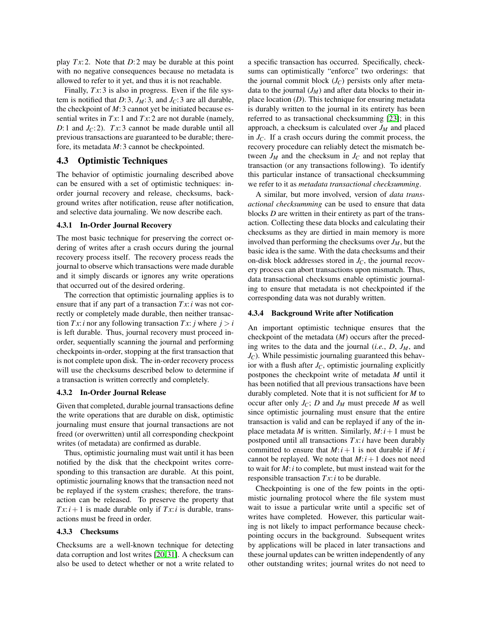play *T x*: 2. Note that *D*: 2 may be durable at this point with no negative consequences because no metadata is allowed to refer to it yet, and thus it is not reachable.

Finally, *Tx*: 3 is also in progress. Even if the file system is notified that  $D: 3$ ,  $J_M: 3$ , and  $J_C: 3$  are all durable, the checkpoint of *M*: 3 cannot yet be initiated because essential writes in *Tx*: 1 and *Tx*: 2 are not durable (namely, *D*: 1 and  $J_C$ : 2). *Tx*: 3 cannot be made durable until all previous transactions are guaranteed to be durable; therefore, its metadata *M*: 3 cannot be checkpointed.

## **4.3 Optimistic Techniques**

The behavior of optimistic journaling described above can be ensured with a set of optimistic techniques: inorder journal recovery and release, checksums, background writes after notification, reuse after notification, and selective data journaling. We now describe each.

#### **4.3.1 In-Order Journal Recovery**

The most basic technique for preserving the correct ordering of writes after a crash occurs during the journal recovery process itself. The recovery process reads the journal to observe which transactions were made durable and it simply discards or ignores any write operations that occurred out of the desired ordering.

The correction that optimistic journaling applies is to ensure that if any part of a transaction *T x*:*i* was not correctly or completely made durable, then neither transaction  $Tx: i$  nor any following transaction  $Tx: j$  where  $j > i$ is left durable. Thus, journal recovery must proceed inorder, sequentially scanning the journal and performing checkpoints in-order, stopping at the first transaction that is not complete upon disk. The in-order recovery process will use the checksums described below to determine if a transaction is written correctly and completely.

#### **4.3.2 In-Order Journal Release**

Given that completed, durable journal transactions define the write operations that are durable on disk, optimistic journaling must ensure that journal transactions are not freed (or overwritten) until all corresponding checkpoint writes (of metadata) are confirmed as durable.

Thus, optimistic journaling must wait until it has been notified by the disk that the checkpoint writes corresponding to this transaction are durable. At this point, optimistic journaling knows that the transaction need not be replayed if the system crashes; therefore, the transaction can be released. To preserve the property that  $Tx: i+1$  is made durable only if  $Tx: i$  is durable, transactions must be freed in order.

#### **4.3.3 Checksums**

Checksums are a well-known technique for detecting data corruption and lost writes [\[20,](#page-15-25) [31\]](#page-15-26). A checksum can also be used to detect whether or not a write related to a specific transaction has occurred. Specifically, checksums can optimistically "enforce" two orderings: that the journal commit block  $(J_C)$  persists only after metadata to the journal  $(J_M)$  and after data blocks to their inplace location (*D*). This technique for ensuring metadata is durably written to the journal in its entirety has been referred to as transactional checksumming [\[23\]](#page-15-11); in this approach, a checksum is calculated over *J<sup>M</sup>* and placed in  $J_C$ . If a crash occurs during the commit process, the recovery procedure can reliably detect the mismatch between  $J_M$  and the checksum in  $J_C$  and not replay that transaction (or any transactions following). To identify this particular instance of transactional checksumming we refer to it as *metadata transactional checksumming*.

A similar, but more involved, version of *data transactional checksumming* can be used to ensure that data blocks *D* are written in their entirety as part of the transaction. Collecting these data blocks and calculating their checksums as they are dirtied in main memory is more involved than performing the checksums over  $J_M$ , but the basic idea is the same. With the data checksums and their on-disk block addresses stored in  $J_C$ , the journal recovery process can abort transactions upon mismatch. Thus, data transactional checksums enable optimistic journaling to ensure that metadata is not checkpointed if the corresponding data was not durably written.

#### **4.3.4 Background Write after Notification**

An important optimistic technique ensures that the checkpoint of the metadata (*M*) occurs after the preceding writes to the data and the journal (*i.e.*, *D*, *JM*, and  $J_C$ ). While pessimistic journaling guaranteed this behavior with a flush after  $J_C$ , optimistic journaling explicitly postpones the checkpoint write of metadata *M* until it has been notified that all previous transactions have been durably completed. Note that it is not sufficient for *M* to occur after only  $J_C$ ; *D* and  $J_M$  must precede *M* as well since optimistic journaling must ensure that the entire transaction is valid and can be replayed if any of the inplace metadata *M* is written. Similarly,  $M: i+1$  must be postponed until all transactions *T x*:*i* have been durably committed to ensure that  $M: i + 1$  is not durable if  $M: i$ cannot be replayed. We note that  $M:i+1$  does not need to wait for *M*:*i* to complete, but must instead wait for the responsible transaction *T x*:*i* to be durable.

Checkpointing is one of the few points in the optimistic journaling protocol where the file system must wait to issue a particular write until a specific set of writes have completed. However, this particular waiting is not likely to impact performance because checkpointing occurs in the background. Subsequent writes by applications will be placed in later transactions and these journal updates can be written independently of any other outstanding writes; journal writes do not need to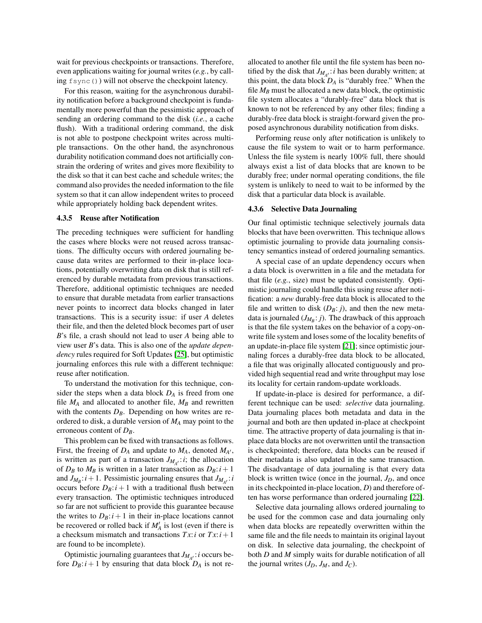wait for previous checkpoints or transactions. Therefore, even applications waiting for journal writes (*e.g.*, by calling fsync()) will not observe the checkpoint latency.

For this reason, waiting for the asynchronous durability notification before a background checkpoint is fundamentally more powerful than the pessimistic approach of sending an ordering command to the disk (*i.e.*, a cache flush). With a traditional ordering command, the disk is not able to postpone checkpoint writes across multiple transactions. On the other hand, the asynchronous durability notification command does not artificially constrain the ordering of writes and gives more flexibility to the disk so that it can best cache and schedule writes; the command also provides the needed information to the file system so that it can allow independent writes to proceed while appropriately holding back dependent writes.

#### <span id="page-8-0"></span>**4.3.5 Reuse after Notification**

The preceding techniques were sufficient for handling the cases where blocks were not reused across transactions. The difficulty occurs with ordered journaling because data writes are performed to their in-place locations, potentially overwriting data on disk that is still referenced by durable metadata from previous transactions. Therefore, additional optimistic techniques are needed to ensure that durable metadata from earlier transactions never points to incorrect data blocks changed in later transactions. This is a security issue: if user *A* deletes their file, and then the deleted block becomes part of user *B*'s file, a crash should not lead to user *A* being able to view user *B*'s data. This is also one of the *update dependency* rules required for Soft Updates [\[25\]](#page-15-27), but optimistic journaling enforces this rule with a different technique: reuse after notification.

To understand the motivation for this technique, consider the steps when a data block  $D_A$  is freed from one file  $M_A$  and allocated to another file,  $M_B$  and rewritten with the contents  $D_B$ . Depending on how writes are reordered to disk, a durable version of *M<sup>A</sup>* may point to the erroneous content of *DB*.

This problem can be fixed with transactions as follows. First, the freeing of  $D_A$  and update to  $M_A$ , denoted  $M_{A'}$ , is written as part of a transaction  $J_{M_{A'}}$ : *i*; the allocation of  $D_B$  to  $M_B$  is written in a later transaction as  $D_B$ :  $i+1$ and  $J_{M_B}$ :  $i + 1$ . Pessimistic journaling ensures that  $J_{M_{A'}}$ : *i* occurs before  $D_B$ :  $i + 1$  with a traditional flush between every transaction. The optimistic techniques introduced so far are not sufficient to provide this guarantee because the writes to  $D_B$ :  $i + 1$  in their in-place locations cannot be recovered or rolled back if  $M'_{\text{A}}$  is lost (even if there is a checksum mismatch and transactions  $Tx: i$  or  $Tx: i+1$ are found to be incomplete).

Optimistic journaling guarantees that  $J_{M_{A'}}: i$  occurs before  $D_B: i + 1$  by ensuring that data block  $D_A$  is not reallocated to another file until the file system has been notified by the disk that  $J_{M_{A'}}$ : *i* has been durably written; at this point, the data block  $D_A$  is "durably free." When the file  $M_B$  must be allocated a new data block, the optimistic file system allocates a "durably-free" data block that is known to not be referenced by any other files; finding a durably-free data block is straight-forward given the proposed asynchronous durability notification from disks.

Performing reuse only after notification is unlikely to cause the file system to wait or to harm performance. Unless the file system is nearly 100% full, there should always exist a list of data blocks that are known to be durably free; under normal operating conditions, the file system is unlikely to need to wait to be informed by the disk that a particular data block is available.

#### **4.3.6 Selective Data Journaling**

Our final optimistic technique selectively journals data blocks that have been overwritten. This technique allows optimistic journaling to provide data journaling consistency semantics instead of ordered journaling semantics.

A special case of an update dependency occurs when a data block is overwritten in a file and the metadata for that file (*e.g.*, size) must be updated consistently. Optimistic journaling could handle this using reuse after notification: a *new* durably-free data block is allocated to the file and written to disk  $(D_B: j)$ , and then the new metadata is journaled (*JM<sup>B</sup>* : *j*). The drawback of this approach is that the file system takes on the behavior of a copy-onwrite file system and loses some of the locality benefits of an update-in-place file system [\[21\]](#page-15-28); since optimistic journaling forces a durably-free data block to be allocated, a file that was originally allocated contiguously and provided high sequential read and write throughput may lose its locality for certain random-update workloads.

If update-in-place is desired for performance, a different technique can be used: *selective* data journaling. Data journaling places both metadata and data in the journal and both are then updated in-place at checkpoint time. The attractive property of data journaling is that inplace data blocks are not overwritten until the transaction is checkpointed; therefore, data blocks can be reused if their metadata is also updated in the same transaction. The disadvantage of data journaling is that every data block is written twice (once in the journal,  $J_D$ , and once in its checkpointed in-place location, *D*) and therefore often has worse performance than ordered journaling [\[22\]](#page-15-4).

Selective data journaling allows ordered journaling to be used for the common case and data journaling only when data blocks are repeatedly overwritten within the same file and the file needs to maintain its original layout on disk. In selective data journaling, the checkpoint of both *D* and *M* simply waits for durable notification of all the journal writes  $(J_D, J_M, \text{ and } J_C)$ .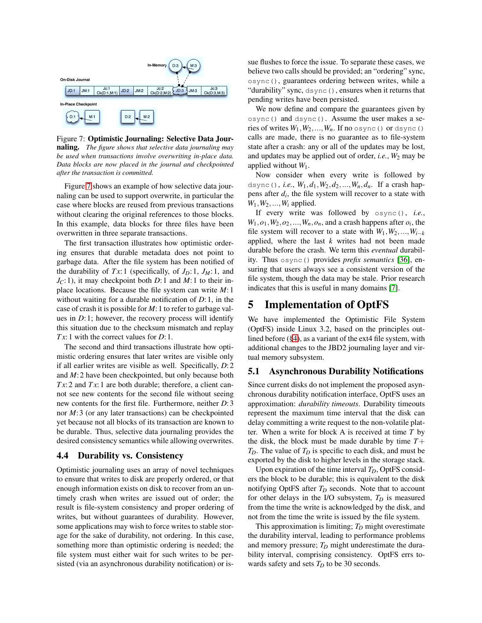

<span id="page-9-1"></span>Figure 7: **Optimistic Journaling: Selective Data Journaling.** *The figure shows that selective data journaling may be used when transactions involve overwriting in-place data. Data blocks are now placed in the journal and checkpointed after the transaction is committed.*

Figure [7](#page-9-1) shows an example of how selective data journaling can be used to support overwrite, in particular the case where blocks are reused from previous transactions without clearing the original references to those blocks. In this example, data blocks for three files have been overwritten in three separate transactions.

The first transaction illustrates how optimistic ordering ensures that durable metadata does not point to garbage data. After the file system has been notified of the durability of  $Tx: 1$  (specifically, of  $J_D: 1$ ,  $J_M: 1$ , and  $J_C$ : 1), it may checkpoint both *D*: 1 and *M*: 1 to their inplace locations. Because the file system can write *M*: 1 without waiting for a durable notification of *D*: 1, in the case of crash it is possible for *M*: 1 to refer to garbage values in *D*: 1; however, the recovery process will identify this situation due to the checksum mismatch and replay *T x*: 1 with the correct values for *D*: 1.

The second and third transactions illustrate how optimistic ordering ensures that later writes are visible only if all earlier writes are visible as well. Specifically, *D*: 2 and *M*: 2 have been checkpointed, but only because both *Tx*: 2 and *Tx*: 1 are both durable; therefore, a client cannot see new contents for the second file without seeing new contents for the first file. Furthermore, neither *D*: 3 nor *M*: 3 (or any later transactions) can be checkpointed yet because not all blocks of its transaction are known to be durable. Thus, selective data journaling provides the desired consistency semantics while allowing overwrites.

## <span id="page-9-2"></span>**4.4 Durability vs. Consistency**

Optimistic journaling uses an array of novel techniques to ensure that writes to disk are properly ordered, or that enough information exists on disk to recover from an untimely crash when writes are issued out of order; the result is file-system consistency and proper ordering of writes, but without guarantees of durability. However, some applications may wish to force writes to stable storage for the sake of durability, not ordering. In this case, something more than optimistic ordering is needed; the file system must either wait for such writes to be persisted (via an asynchronous durability notification) or issue flushes to force the issue. To separate these cases, we believe two calls should be provided; an "ordering" sync, osync(), guarantees ordering between writes, while a "durability" sync, dsync(), ensures when it returns that pending writes have been persisted.

We now define and compare the guarantees given by osync() and dsync(). Assume the user makes a series of writes  $W_1, W_2, ..., W_n$ . If no osync() or dsync() calls are made, there is no guarantee as to file-system state after a crash: any or all of the updates may be lost, and updates may be applied out of order, *i.e.*, *W*<sup>2</sup> may be applied without *W*1.

Now consider when every write is followed by dsync(), *i.e.*,  $W_1, d_1, W_2, d_2, ..., W_n, d_n$ . If a crash happens after *d<sup>i</sup>* , the file system will recover to a state with  $W_1, W_2, \ldots, W_i$  applied.

If every write was followed by osync(), *i.e.*,  $W_1$ ,  $o_1$ ,  $W_2$ ,  $o_2$ , ...,  $W_n$ ,  $o_n$ , and a crash happens after  $o_i$ , the file system will recover to a state with  $W_1, W_2, \ldots, W_{i-k}$ applied, where the last *k* writes had not been made durable before the crash. We term this *eventual* durability. Thus osync() provides *prefix semantics* [\[36\]](#page-15-29), ensuring that users always see a consistent version of the file system, though the data may be stale. Prior research indicates that this is useful in many domains [\[7\]](#page-15-30).

## <span id="page-9-0"></span>**5 Implementation of OptFS**

We have implemented the Optimistic File System (OptFS) inside Linux 3.2, based on the principles outlined before ([§4\)](#page-5-0), as a variant of the ext4 file system, with additional changes to the JBD2 journaling layer and virtual memory subsystem.

### **5.1 Asynchronous Durability Notifications**

Since current disks do not implement the proposed asynchronous durability notification interface, OptFS uses an approximation: *durability timeouts*. Durability timeouts represent the maximum time interval that the disk can delay committing a write request to the non-volatile platter. When a write for block A is received at time *T* by the disk, the block must be made durable by time *T*+  $T_D$ . The value of  $T_D$  is specific to each disk, and must be exported by the disk to higher levels in the storage stack.

Upon expiration of the time interval  $T_D$ , OptFS considers the block to be durable; this is equivalent to the disk notifying OptFS after *T<sup>D</sup>* seconds. Note that to account for other delays in the I/O subsystem, *T<sup>D</sup>* is measured from the time the write is acknowledged by the disk, and not from the time the write is issued by the file system.

This approximation is limiting; *T<sup>D</sup>* might overestimate the durability interval, leading to performance problems and memory pressure; *T<sup>D</sup>* might underestimate the durability interval, comprising consistency. OptFS errs towards safety and sets *T<sup>D</sup>* to be 30 seconds.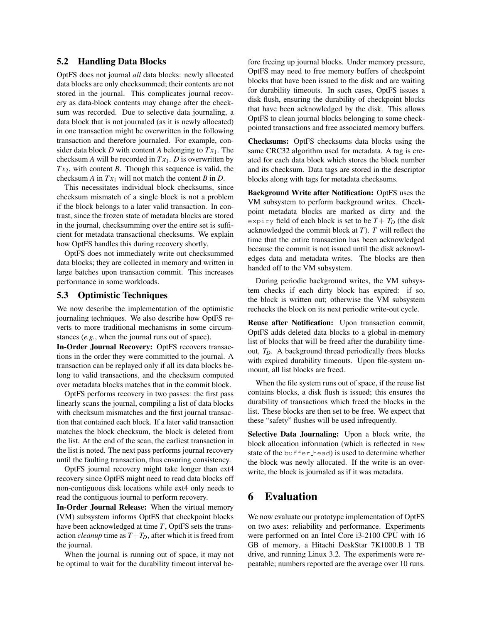### **5.2 Handling Data Blocks**

OptFS does not journal *all* data blocks: newly allocated data blocks are only checksummed; their contents are not stored in the journal. This complicates journal recovery as data-block contents may change after the checksum was recorded. Due to selective data journaling, a data block that is not journaled (as it is newly allocated) in one transaction might be overwritten in the following transaction and therefore journaled. For example, consider data block *D* with content *A* belonging to  $Tx_1$ . The checksum *A* will be recorded in  $Tx_1$ . *D* is overwritten by *T x*2, with content *B*. Though this sequence is valid, the checksum *A* in  $Tx_1$  will not match the content *B* in *D*.

This necessitates individual block checksums, since checksum mismatch of a single block is not a problem if the block belongs to a later valid transaction. In contrast, since the frozen state of metadata blocks are stored in the journal, checksumming over the entire set is sufficient for metadata transactional checksums. We explain how OptFS handles this during recovery shortly.

OptFS does not immediately write out checksummed data blocks; they are collected in memory and written in large batches upon transaction commit. This increases performance in some workloads.

## **5.3 Optimistic Techniques**

We now describe the implementation of the optimistic journaling techniques. We also describe how OptFS reverts to more traditional mechanisms in some circumstances (*e.g.*, when the journal runs out of space).

**In-Order Journal Recovery:** OptFS recovers transactions in the order they were committed to the journal. A transaction can be replayed only if all its data blocks belong to valid transactions, and the checksum computed over metadata blocks matches that in the commit block.

OptFS performs recovery in two passes: the first pass linearly scans the journal, compiling a list of data blocks with checksum mismatches and the first journal transaction that contained each block. If a later valid transaction matches the block checksum, the block is deleted from the list. At the end of the scan, the earliest transaction in the list is noted. The next pass performs journal recovery until the faulting transaction, thus ensuring consistency.

OptFS journal recovery might take longer than ext4 recovery since OptFS might need to read data blocks off non-contiguous disk locations while ext4 only needs to read the contiguous journal to perform recovery.

**In-Order Journal Release:** When the virtual memory (VM) subsystem informs OptFS that checkpoint blocks have been acknowledged at time *T*, OptFS sets the transaction *cleanup* time as  $T + T_D$ , after which it is freed from the journal.

When the journal is running out of space, it may not be optimal to wait for the durability timeout interval before freeing up journal blocks. Under memory pressure, OptFS may need to free memory buffers of checkpoint blocks that have been issued to the disk and are waiting for durability timeouts. In such cases, OptFS issues a disk flush, ensuring the durability of checkpoint blocks that have been acknowledged by the disk. This allows OptFS to clean journal blocks belonging to some checkpointed transactions and free associated memory buffers.

**Checksums:** OptFS checksums data blocks using the same CRC32 algorithm used for metadata. A tag is created for each data block which stores the block number and its checksum. Data tags are stored in the descriptor blocks along with tags for metadata checksums.

**Background Write after Notification:** OptFS uses the VM subsystem to perform background writes. Checkpoint metadata blocks are marked as dirty and the expiry field of each block is set to be  $T + T_D$  (the disk acknowledged the commit block at *T*). *T* will reflect the time that the entire transaction has been acknowledged because the commit is not issued until the disk acknowledges data and metadata writes. The blocks are then handed off to the VM subsystem.

During periodic background writes, the VM subsystem checks if each dirty block has expired: if so, the block is written out; otherwise the VM subsystem rechecks the block on its next periodic write-out cycle.

**Reuse after Notification:** Upon transaction commit, OptFS adds deleted data blocks to a global in-memory list of blocks that will be freed after the durability timeout, *TD*. A background thread periodically frees blocks with expired durability timeouts. Upon file-system unmount, all list blocks are freed.

When the file system runs out of space, if the reuse list contains blocks, a disk flush is issued; this ensures the durability of transactions which freed the blocks in the list. These blocks are then set to be free. We expect that these "safety" flushes will be used infrequently.

**Selective Data Journaling:** Upon a block write, the block allocation information (which is reflected in New state of the buffer head) is used to determine whether the block was newly allocated. If the write is an overwrite, the block is journaled as if it was metadata.

## <span id="page-10-0"></span>**6 Evaluation**

We now evaluate our prototype implementation of OptFS on two axes: reliability and performance. Experiments were performed on an Intel Core i3-2100 CPU with 16 GB of memory, a Hitachi DeskStar 7K1000.B 1 TB drive, and running Linux 3.2. The experiments were repeatable; numbers reported are the average over 10 runs.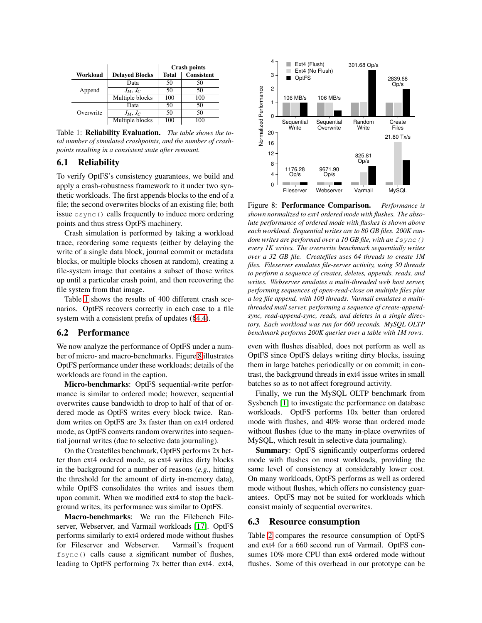|           |                       | <b>Crash points</b> |                   |  |
|-----------|-----------------------|---------------------|-------------------|--|
| Workload  | <b>Delayed Blocks</b> | <b>Total</b>        | <b>Consistent</b> |  |
|           | Data                  | 50                  | 50                |  |
| Append    | $J_M, J_C$            | 50                  | 50                |  |
|           | Multiple blocks       | 100                 | 100               |  |
|           | Data                  | 50                  | 50                |  |
| Overwrite | $J_M, J_C$            | 50                  | 50                |  |
|           | Multiple blocks       | 100                 | 100               |  |

<span id="page-11-0"></span>Table 1: **Reliability Evaluation.** *The table shows the total number of simulated crashpoints, and the number of crashpoints resulting in a consistent state after remount.*

## **6.1 Reliability**

To verify OptFS's consistency guarantees, we build and apply a crash-robustness framework to it under two synthetic workloads. The first appends blocks to the end of a file; the second overwrites blocks of an existing file; both issue osync() calls frequently to induce more ordering points and thus stress OptFS machinery.

Crash simulation is performed by taking a workload trace, reordering some requests (either by delaying the write of a single data block, journal commit or metadata blocks, or multiple blocks chosen at random), creating a file-system image that contains a subset of those writes up until a particular crash point, and then recovering the file system from that image.

Table [1](#page-11-0) shows the results of 400 different crash scenarios. OptFS recovers correctly in each case to a file system with a consistent prefix of updates ([§4.4\)](#page-9-2).

### **6.2 Performance**

We now analyze the performance of OptFS under a number of micro- and macro-benchmarks. Figure [8](#page-11-1) illustrates OptFS performance under these workloads; details of the workloads are found in the caption.

**Micro-benchmarks**: OptFS sequential-write performance is similar to ordered mode; however, sequential overwrites cause bandwidth to drop to half of that of ordered mode as OptFS writes every block twice. Random writes on OptFS are 3x faster than on ext4 ordered mode, as OptFS converts random overwrites into sequential journal writes (due to selective data journaling).

On the Createfiles benchmark, OptFS performs 2x better than ext4 ordered mode, as ext4 writes dirty blocks in the background for a number of reasons (*e.g.*, hitting the threshold for the amount of dirty in-memory data), while OptFS consolidates the writes and issues them upon commit. When we modified ext4 to stop the background writes, its performance was similar to OptFS.

**Macro-benchmarks**: We run the Filebench Fileserver, Webserver, and Varmail workloads [\[17\]](#page-15-19). OptFS performs similarly to ext4 ordered mode without flushes for Fileserver and Webserver. Varmail's frequent fsync() calls cause a significant number of flushes, leading to OptFS performing 7x better than ext4. ext4,



<span id="page-11-1"></span>Figure 8: **Performance Comparison.** *Performance is shown normalized to ext4 ordered mode with flushes. The absolute performance of ordered mode with flushes is shown above each workload. Sequential writes are to 80 GB files. 200K random writes are performed over a 10 GB file, with an* fsync() *every 1K writes. The overwrite benchmark sequentially writes over a 32 GB file. Createfiles uses 64 threads to create 1M files. Fileserver emulates file-server activity, using 50 threads to perform a sequence of creates, deletes, appends, reads, and writes. Webserver emulates a multi-threaded web host server, performing sequences of open-read-close on multiple files plus a log file append, with 100 threads. Varmail emulates a multithreaded mail server, performing a sequence of create-appendsync, read-append-sync, reads, and deletes in a single directory. Each workload was run for 660 seconds. MySQL OLTP benchmark performs 200K queries over a table with 1M rows.*

even with flushes disabled, does not perform as well as OptFS since OptFS delays writing dirty blocks, issuing them in large batches periodically or on commit; in contrast, the background threads in ext4 issue writes in small batches so as to not affect foreground activity.

Finally, we run the MySQL OLTP benchmark from Sysbench [\[1\]](#page-15-20) to investigate the performance on database workloads. OptFS performs 10x better than ordered mode with flushes, and 40% worse than ordered mode without flushes (due to the many in-place overwrites of MySQL, which result in selective data journaling).

**Summary**: OptFS significantly outperforms ordered mode with flushes on most workloads, providing the same level of consistency at considerably lower cost. On many workloads, OptFS performs as well as ordered mode without flushes, which offers no consistency guarantees. OptFS may not be suited for workloads which consist mainly of sequential overwrites.

#### **6.3 Resource consumption**

Table [2](#page-12-1) compares the resource consumption of OptFS and ext4 for a 660 second run of Varmail. OptFS consumes 10% more CPU than ext4 ordered mode without flushes. Some of this overhead in our prototype can be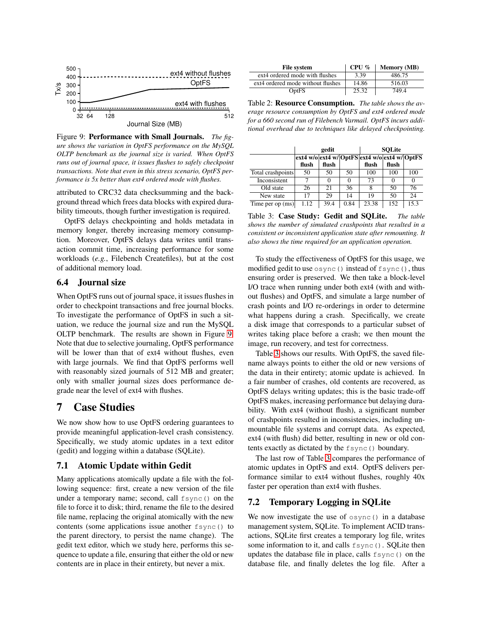

<span id="page-12-2"></span>Figure 9: **Performance with Small Journals.** *The figure shows the variation in OptFS performance on the MySQL OLTP benchmark as the journal size is varied. When OptFS runs out of journal space, it issues flushes to safely checkpoint transactions. Note that even in this stress scenario, OptFS performance is 5x better than ext4 ordered mode with flushes.*

attributed to CRC32 data checksumming and the background thread which frees data blocks with expired durability timeouts, though further investigation is required.

OptFS delays checkpointing and holds metadata in memory longer, thereby increasing memory consumption. Moreover, OptFS delays data writes until transaction commit time, increasing performance for some workloads (*e.g.*, Filebench Createfiles), but at the cost of additional memory load.

## **6.4 Journal size**

When OptFS runs out of journal space, it issues flushes in order to checkpoint transactions and free journal blocks. To investigate the performance of OptFS in such a situation, we reduce the journal size and run the MySQL OLTP benchmark. The results are shown in Figure [9.](#page-12-2) Note that due to selective journaling, OptFS performance will be lower than that of ext4 without flushes, even with large journals. We find that OptFS performs well with reasonably sized journals of 512 MB and greater; only with smaller journal sizes does performance degrade near the level of ext4 with flushes.

## <span id="page-12-0"></span>**7 Case Studies**

We now show how to use OptFS ordering guarantees to provide meaningful application-level crash consistency. Specifically, we study atomic updates in a text editor (gedit) and logging within a database (SQLite).

## **7.1 Atomic Update within Gedit**

Many applications atomically update a file with the following sequence: first, create a new version of the file under a temporary name; second, call  $f<sub>sync</sub>$  () on the file to force it to disk; third, rename the file to the desired file name, replacing the original atomically with the new contents (some applications issue another fsync() to the parent directory, to persist the name change). The gedit text editor, which we study here, performs this sequence to update a file, ensuring that either the old or new contents are in place in their entirety, but never a mix.

| File system                       | CPU $%$ | <b>Memory (MB)</b> |
|-----------------------------------|---------|--------------------|
| ext4 ordered mode with flushes    | 3.39    | 486.75             |
| ext4 ordered mode without flushes | 14.86   | 516.03             |
| OptFS                             | 25.32   | 749.4              |

<span id="page-12-1"></span>Table 2: **Resource Consumption.** *The table shows the average resource consumption by OptFS and ext4 ordered mode for a 660 second run of Filebench Varmail. OptFS incurs additional overhead due to techniques like delayed checkpointing.*

|                    | gedit |          | <b>SOLite</b> |                                               |       |      |
|--------------------|-------|----------|---------------|-----------------------------------------------|-------|------|
|                    |       |          |               | ext4 w/o ext4 w/ OptFS ext4 w/o ext4 w/ OptFS |       |      |
|                    | flush | flush    |               | flush                                         | flush |      |
| Total crashpoints  | 50    | 50       | 50            | 100                                           | 100   | 100  |
| Inconsistent       |       | $\theta$ |               | 73                                            |       |      |
| Old state          | 26    | 21       | 36            | 8                                             | 50    | 76   |
| New state          | 17    | 29       | 14            | 19                                            | 50    | 24   |
| Time per op $(ms)$ | 1.12  | 39.4     | 0.84          | 23.38                                         | 152   | 15.3 |

<span id="page-12-3"></span>Table 3: **Case Study: Gedit and SQLite.** *The table shows the number of simulated crashpoints that resulted in a consistent or inconsistent application state after remounting. It also shows the time required for an application operation.*

To study the effectiveness of OptFS for this usage, we modified gedit to use  $osync()$  instead of  $fsync()$ , thus ensuring order is preserved. We then take a block-level I/O trace when running under both ext4 (with and without flushes) and OptFS, and simulate a large number of crash points and I/O re-orderings in order to determine what happens during a crash. Specifically, we create a disk image that corresponds to a particular subset of writes taking place before a crash; we then mount the image, run recovery, and test for correctness.

Table [3](#page-12-3) shows our results. With OptFS, the saved filename always points to either the old or new versions of the data in their entirety; atomic update is achieved. In a fair number of crashes, old contents are recovered, as OptFS delays writing updates; this is the basic trade-off OptFS makes, increasing performance but delaying durability. With ext4 (without flush), a significant number of crashpoints resulted in inconsistencies, including unmountable file systems and corrupt data. As expected, ext4 (with flush) did better, resulting in new or old contents exactly as dictated by the fsync() boundary.

The last row of Table [3](#page-12-3) compares the performance of atomic updates in OptFS and ext4. OptFS delivers performance similar to ext4 without flushes, roughly 40x faster per operation than ext4 with flushes.

## **7.2 Temporary Logging in SQLite**

We now investigate the use of  $osync()$  in a database management system, SQLite. To implement ACID transactions, SQLite first creates a temporary log file, writes some information to it, and calls fsync(). SQLite then updates the database file in place, calls  $f<sub>sync</sub>$  () on the database file, and finally deletes the log file. After a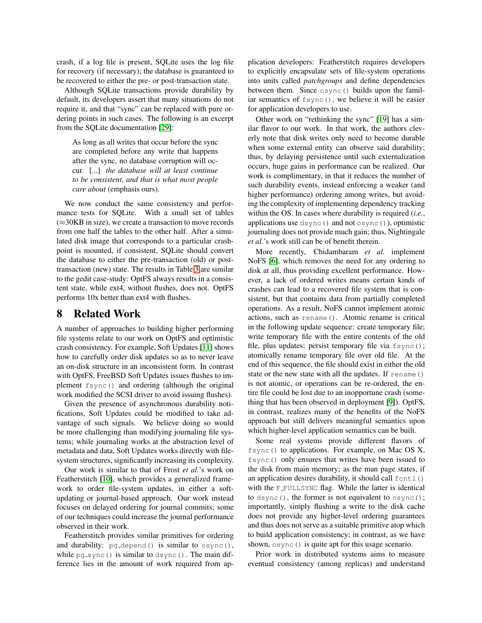crash, if a log file is present, SQLite uses the log file for recovery (if necessary); the database is guaranteed to be recovered to either the pre- or post-transaction state.

Although SQLite transactions provide durability by default, its developers assert that many situations do not require it, and that "sync" can be replaced with pure ordering points in such cases. The following is an excerpt from the SQLite documentation [\[29\]](#page-15-31):

As long as all writes that occur before the sync are completed before any write that happens after the sync, no database corruption will occur. [...] *the database will at least continue to be consistent, and that is what most people care about* (emphasis ours).

We now conduct the same consistency and performance tests for SQLite. With a small set of tables  $(\approx 30KB \text{ in size})$ , we create a transaction to move records from one half the tables to the other half. After a simulated disk image that corresponds to a particular crashpoint is mounted, if consistent, SQLite should convert the database to either the pre-transaction (old) or posttransaction (new) state. The results in Table [3](#page-12-3) are similar to the gedit case-study: OptFS always results in a consistent state, while ext4, without flushes, does not. OptFS performs 10x better than ext4 with flushes.

## **8 Related Work**

A number of approaches to building higher performing file systems relate to our work on OptFS and optimistic crash consistency. For example, Soft Updates [\[11\]](#page-15-32) shows how to carefully order disk updates so as to never leave an on-disk structure in an inconsistent form. In contrast with OptFS, FreeBSD Soft Updates issues flushes to implement fsync() and ordering (although the original work modified the SCSI driver to avoid issuing flushes).

Given the presence of asynchronous durability notifications, Soft Updates could be modified to take advantage of such signals. We believe doing so would be more challenging than modifying journaling file systems; while journaling works at the abstraction level of metadata and data, Soft Updates works directly with filesystem structures, significantly increasing its complexity.

Our work is similar to that of Frost *et al.*'s work on Featherstitch [\[10\]](#page-15-33), which provides a generalized framework to order file-system updates, in either a softupdating or journal-based approach. Our work instead focuses on delayed ordering for journal commits; some of our techniques could increase the journal performance observed in their work.

Featherstitch provides similar primitives for ordering and durability: pg\_depend() is similar to osync(), while  $pg\_sync$  () is similar to dsync(). The main difference lies in the amount of work required from application developers: Featherstitch requires developers to explicitly encapsulate sets of file-system operations into units called *patchgroups* and define dependencies between them. Since osync() builds upon the familiar semantics of  $f_{sync}($ ), we believe it will be easier for application developers to use.

Other work on "rethinking the sync" [\[19\]](#page-15-34) has a similar flavor to our work. In that work, the authors cleverly note that disk writes only need to become durable when some external entity can observe said durability; thus, by delaying persistence until such externalization occurs, huge gains in performance can be realized. Our work is complimentary, in that it reduces the number of such durability events, instead enforcing a weaker (and higher performance) ordering among writes, but avoiding the complexity of implementing dependency tracking within the OS. In cases where durability is required (*i.e.*, applications use dsync() and not osync()), optimistic journaling does not provide much gain; thus, Nightingale *et al.*'s work still can be of benefit therein.

More recently, Chidambaram *et al.* implement NoFS [\[6\]](#page-15-5), which removes the need for any ordering to disk at all, thus providing excellent performance. However, a lack of ordered writes means certain kinds of crashes can lead to a recovered file system that is consistent, but that contains data from partially completed operations. As a result, NoFS cannot implement atomic actions, such as rename(). Atomic rename is critical in the following update sequence: create temporary file; write temporary file with the entire contents of the old file, plus updates; persist temporary file via fsync(); atomically rename temporary file over old file. At the end of this sequence, the file should exist in either the old state or the new state with all the updates. If rename () is not atomic, or operations can be re-ordered, the entire file could be lost due to an inopportune crash (something that has been observed in deployment [\[9\]](#page-15-35)). OptFS, in contrast, realizes many of the benefits of the NoFS approach but still delivers meaningful semantics upon which higher-level application semantics can be built.

Some real systems provide different flavors of  $f<sub>sync</sub>$  () to applications. For example, on Mac OS X, fsync() only ensures that writes have been issued to the disk from main memory; as the man page states, if an application desires durability, it should call fcntl() with the F\_FULLSYNC flag. While the latter is identical to dsync(), the former is not equivalent to osync(); importantly, simply flushing a write to the disk cache does not provide any higher-level ordering guarantees and thus does not serve as a suitable primitive atop which to build application consistency; in contrast, as we have shown,  $osync()$  is quite apt for this usage scenario.

Prior work in distributed systems aims to measure eventual consistency (among replicas) and understand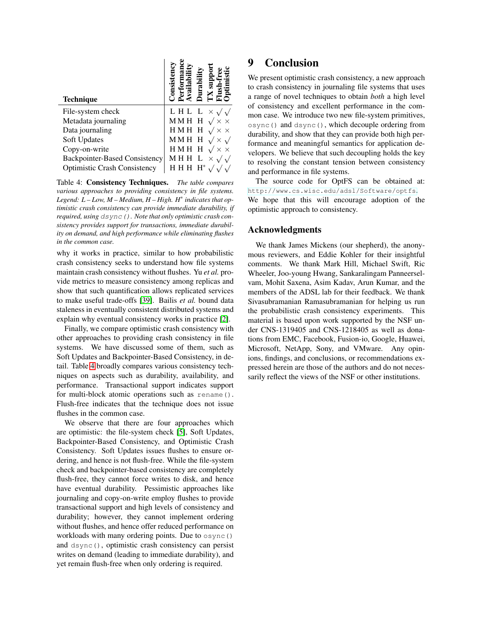| <b>Technique</b>                    | Availabi<br>Durabil                        |
|-------------------------------------|--------------------------------------------|
| File-system check                   | LHL L $\times \sqrt{\sqrt{ }}$             |
| Metadata journaling                 | MMH H $\sqrt{\times}$ $\times$             |
| Data journaling                     | HMH H $\sqrt{\times}$ $\times$             |
| Soft Updates                        | MMH H $\sqrt{\times}$ $\sqrt{\phantom{0}}$ |
| Copy-on-write                       | HMH H $\sqrt{\times}$ $\times$             |
| Backpointer-Based Consistency       | MHH L $\times \sqrt{\sqrt{ }}$             |
| <b>Optimistic Crash Consistency</b> | HHH $H^* \sqrt{\sqrt{}}$                   |

<span id="page-14-0"></span>Table 4: **Consistency Techniques.** *The table compares various approaches to providing consistency in file systems. Legend: L – Low, M – Medium, H – High. H*∗ *indicates that optimistic crash consistency can provide immediate durability, if required, using* dsync()*. Note that only optimistic crash consistency provides support for transactions, immediate durability on demand, and high performance while eliminating flushes in the common case.*

why it works in practice, similar to how probabilistic crash consistency seeks to understand how file systems maintain crash consistency without flushes. Yu *et al.* provide metrics to measure consistency among replicas and show that such quantification allows replicated services to make useful trade-offs [\[39\]](#page-15-36). Bailis *et al.* bound data staleness in eventually consistent distributed systems and explain why eventual consistency works in practice [\[2\]](#page-15-37).

Finally, we compare optimistic crash consistency with other approaches to providing crash consistency in file systems. We have discussed some of them, such as Soft Updates and Backpointer-Based Consistency, in detail. Table [4](#page-14-0) broadly compares various consistency techniques on aspects such as durability, availability, and performance. Transactional support indicates support for multi-block atomic operations such as rename(). Flush-free indicates that the technique does not issue flushes in the common case.

We observe that there are four approaches which are optimistic: the file-system check [\[5\]](#page-15-38), Soft Updates, Backpointer-Based Consistency, and Optimistic Crash Consistency. Soft Updates issues flushes to ensure ordering, and hence is not flush-free. While the file-system check and backpointer-based consistency are completely flush-free, they cannot force writes to disk, and hence have eventual durability. Pessimistic approaches like journaling and copy-on-write employ flushes to provide transactional support and high levels of consistency and durability; however, they cannot implement ordering without flushes, and hence offer reduced performance on workloads with many ordering points. Due to  $\circ$ sync() and dsync(), optimistic crash consistency can persist writes on demand (leading to immediate durability), and yet remain flush-free when only ordering is required.

## **9 Conclusion**

We present optimistic crash consistency, a new approach to crash consistency in journaling file systems that uses a range of novel techniques to obtain *both* a high level of consistency and excellent performance in the common case. We introduce two new file-system primitives, osync() and dsync(), which decouple ordering from durability, and show that they can provide both high performance and meaningful semantics for application developers. We believe that such decoupling holds the key to resolving the constant tension between consistency and performance in file systems.

The source code for OptFS can be obtained at: <http://www.cs.wisc.edu/adsl/Software/optfs>. We hope that this will encourage adoption of the optimistic approach to consistency.

### **Acknowledgments**

We thank James Mickens (our shepherd), the anonymous reviewers, and Eddie Kohler for their insightful comments. We thank Mark Hill, Michael Swift, Ric Wheeler, Joo-young Hwang, Sankaralingam Panneerselvam, Mohit Saxena, Asim Kadav, Arun Kumar, and the members of the ADSL lab for their feedback. We thank Sivasubramanian Ramasubramanian for helping us run the probabilistic crash consistency experiments. This material is based upon work supported by the NSF under CNS-1319405 and CNS-1218405 as well as donations from EMC, Facebook, Fusion-io, Google, Huawei, Microsoft, NetApp, Sony, and VMware. Any opinions, findings, and conclusions, or recommendations expressed herein are those of the authors and do not necessarily reflect the views of the NSF or other institutions.